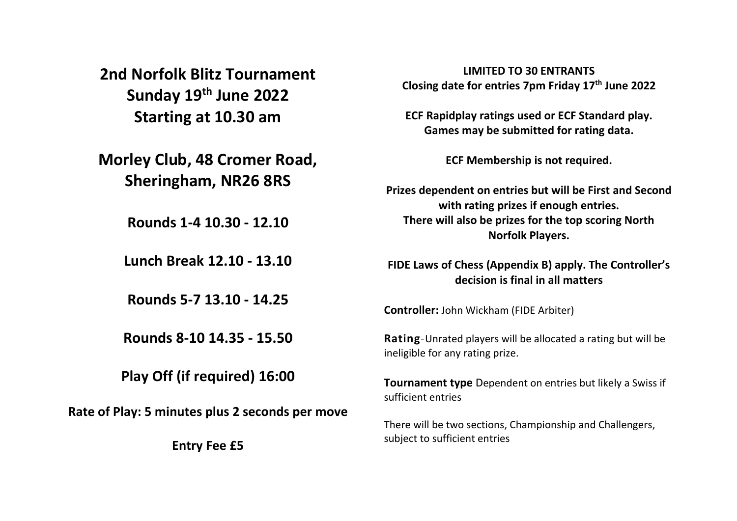**2nd Norfolk Blitz Tournament Sunday 19th June 2022 Starting at 10.30 am**

**Morley Club, 48 Cromer Road, Sheringham, NR26 8RS**

**Rounds 1-4 10.30 - 12.10**

**Lunch Break 12.10 - 13.10**

**Rounds 5-7 13.10 - 14.25**

**Rounds 8-10 14.35 - 15.50**

**Play Off (if required) 16:00**

**Rate of Play: 5 minutes plus 2 seconds per move**

**Entry Fee £5**

**LIMITED TO 30 ENTRANTS Closing date for entries 7pm Friday 17th June 2022**

**ECF Rapidplay ratings used or ECF Standard play. Games may be submitted for rating data.**

**ECF Membership is not required.**

**Prizes dependent on entries but will be First and Second with rating prizes if enough entries. There will also be prizes for the top scoring North Norfolk Players.**

**FIDE Laws of Chess (Appendix B) apply. The Controller's decision is final in all matters**

**Controller:** John Wickham (FIDE Arbiter)

**Rating**-Unrated players will be allocated a rating but will be ineligible for any rating prize.

**Tournament type** Dependent on entries but likely a Swiss if sufficient entries

There will be two sections, Championship and Challengers, subject to sufficient entries